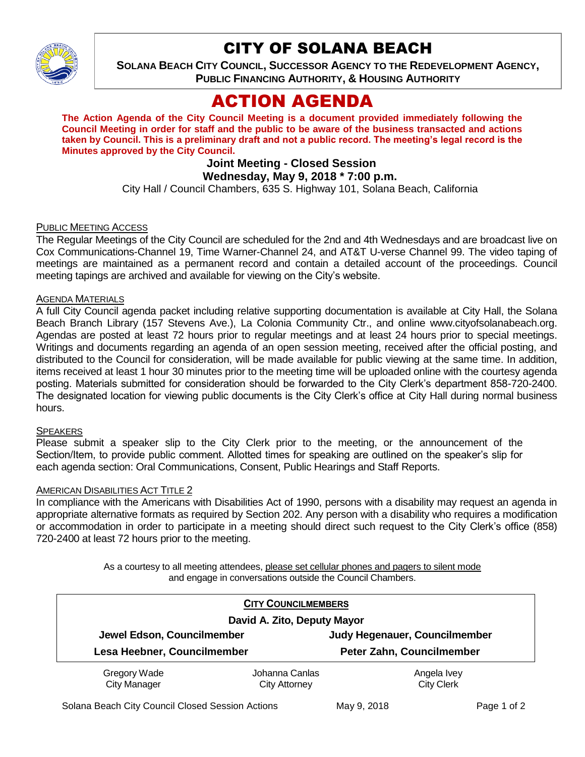

## CITY OF SOLANA BEACH

**SOLANA BEACH CITY COUNCIL, SUCCESSOR AGENCY TO THE REDEVELOPMENT AGENCY, PUBLIC FINANCING AUTHORITY, & HOUSING AUTHORITY** 

# ACTION AGENDA

**The Action Agenda of the City Council Meeting is a document provided immediately following the Council Meeting in order for staff and the public to be aware of the business transacted and actions taken by Council. This is a preliminary draft and not a public record. The meeting's legal record is the Minutes approved by the City Council.**

## **Joint Meeting - Closed Session**

**Wednesday, May 9, 2018 \* 7:00 p.m.**

City Hall / Council Chambers, 635 S. Highway 101, Solana Beach, California

## PUBLIC MEETING ACCESS

The Regular Meetings of the City Council are scheduled for the 2nd and 4th Wednesdays and are broadcast live on Cox Communications-Channel 19, Time Warner-Channel 24, and AT&T U-verse Channel 99. The video taping of meetings are maintained as a permanent record and contain a detailed account of the proceedings. Council meeting tapings are archived and available for viewing on the City's website.

## **AGENDA MATERIALS**

A full City Council agenda packet including relative supporting documentation is available at City Hall, the Solana Beach Branch Library (157 Stevens Ave.), La Colonia Community Ctr., and online www.cityofsolanabeach.org. Agendas are posted at least 72 hours prior to regular meetings and at least 24 hours prior to special meetings. Writings and documents regarding an agenda of an open session meeting, received after the official posting, and distributed to the Council for consideration, will be made available for public viewing at the same time. In addition, items received at least 1 hour 30 minutes prior to the meeting time will be uploaded online with the courtesy agenda posting. Materials submitted for consideration should be forwarded to the City Clerk's department 858-720-2400. The designated location for viewing public documents is the City Clerk's office at City Hall during normal business hours.

### SPEAKERS

Please submit a speaker slip to the City Clerk prior to the meeting, or the announcement of the Section/Item, to provide public comment. Allotted times for speaking are outlined on the speaker's slip for each agenda section: Oral Communications, Consent, Public Hearings and Staff Reports.

### AMERICAN DISABILITIES ACT TITLE 2

In compliance with the Americans with Disabilities Act of 1990, persons with a disability may request an agenda in appropriate alternative formats as required by Section 202. Any person with a disability who requires a modification or accommodation in order to participate in a meeting should direct such request to the City Clerk's office (858) 720-2400 at least 72 hours prior to the meeting.

> As a courtesy to all meeting attendees, please set cellular phones and pagers to silent mode and engage in conversations outside the Council Chambers.

| <b>CITY COUNCILMEMBERS</b><br>David A. Zito, Deputy Mayor |                                        |                                  |  |
|-----------------------------------------------------------|----------------------------------------|----------------------------------|--|
|                                                           |                                        |                                  |  |
|                                                           | Lesa Heebner, Councilmember            | Peter Zahn, Councilmember        |  |
| Gregory Wade<br><b>City Manager</b>                       | Johanna Canlas<br><b>City Attorney</b> | Angela Ivey<br><b>City Clerk</b> |  |
|                                                           |                                        |                                  |  |